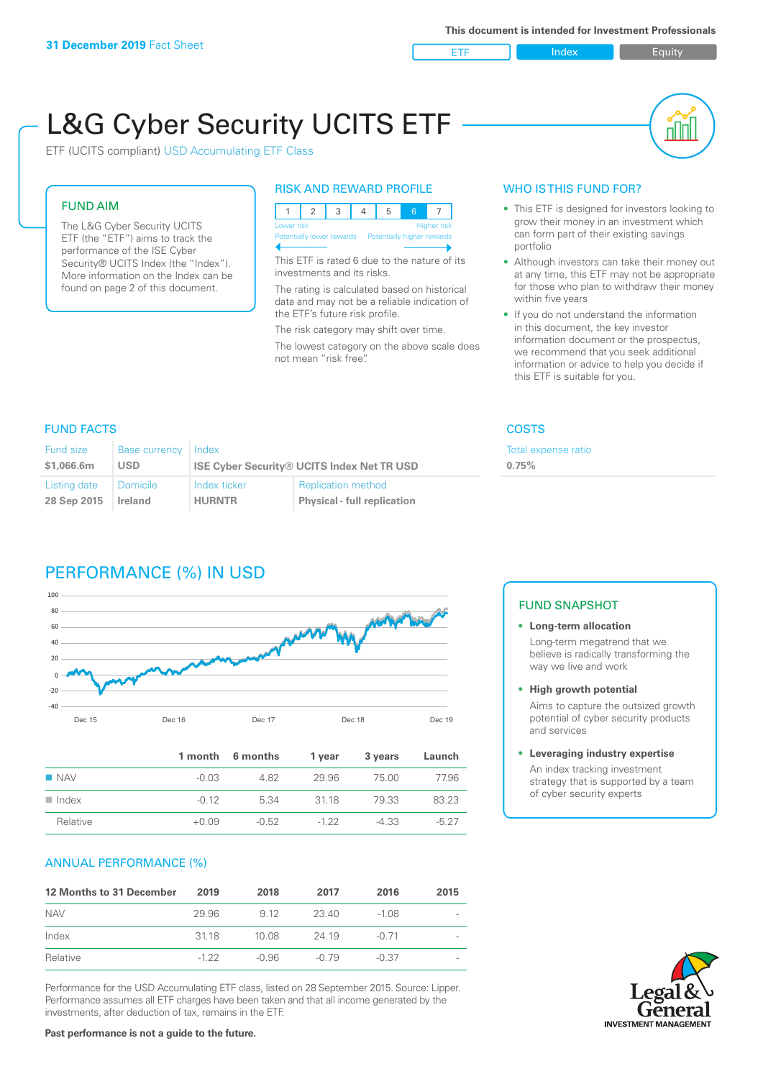ETF Index Buity

nN

# L&G Cyber Security UCITS ETF

ETF (UCITS compliant) USD Accumulating ETF Class

### FUND AIM

The L&G Cyber Security UCITS ETF (the "ETF") aims to track the performance of the ISE Cyber Security® UCITS Index (the "Index"). More information on the Index can be found on page 2 of this document.

### RISK AND REWARD PROFILE

| Lower risk<br><b>Higher risk</b> |  |  |  |                                                      |  |  |  |
|----------------------------------|--|--|--|------------------------------------------------------|--|--|--|
|                                  |  |  |  | Potentially lower rewards Potentially higher rewards |  |  |  |
|                                  |  |  |  |                                                      |  |  |  |

This ETF is rated 6 due to the nature of its investments and its risks.

The rating is calculated based on historical data and may not be a reliable indication of the ETF's future risk profile.

The risk category may shift over time. The lowest category on the above scale does not mean "risk free".

### WHO IS THIS FUND FOR?

- This ETF is designed for investors looking to grow their money in an investment which can form part of their existing savings portfolio
- Although investors can take their money out at any time, this ETF may not be appropriate for those who plan to withdraw their money within five years
- If you do not understand the information in this document, the key investor information document or the prospectus, we recommend that you seek additional information or advice to help you decide if this ETF is suitable for you.

**0.75%**

Total expense ratio

### FUND FACTS COSTS

| Fund size<br><b>Base currency</b><br>\$1,066.6m<br><b>USD</b> |                | Index<br><b>ISE Cyber Security® UCITS Index Net TR USD</b> |                                    |  |  |
|---------------------------------------------------------------|----------------|------------------------------------------------------------|------------------------------------|--|--|
| Listing date                                                  | Domicile       | Index ticker                                               | <b>Replication method</b>          |  |  |
| 28 Sep 2015                                                   | <b>Ireland</b> | <b>HURNTR</b>                                              | <b>Physical - full replication</b> |  |  |

### PERFORMANCE (%) IN USD



|                      |         | 1 month 6 months | 1 year | 3 years | Launch |
|----------------------|---------|------------------|--------|---------|--------|
| $\blacksquare$ NAV   | $-0.03$ | 482              | 29.96  | 75.00   | 77.96  |
| $\blacksquare$ Index | $-0.12$ | 5.34             | 3118   | 79.33   | 83.23  |
| Relative             | $+0.09$ | $-0.52$          | $-122$ | $-4.33$ | $-527$ |

### ANNUAL PERFORMANCE (%)

| 12 Months to 31 December | 2019   | 2018  | 2017    | 2016    | 2015 |
|--------------------------|--------|-------|---------|---------|------|
| <b>NAV</b>               | 29.96  | 9.12  | 23.40   | $-1.08$ |      |
| Index                    | 3118   | 10.08 | 24 19   | $-0.71$ |      |
| Relative                 | $-122$ | -0.96 | $-0.79$ | $-0.37$ |      |

Performance for the USD Accumulating ETF class, listed on 28 September 2015. Source: Lipper. Performance assumes all ETF charges have been taken and that all income generated by the investments, after deduction of tax, remains in the ETF.

### FUND SNAPSHOT

### **• Long-term allocation** Long-term megatrend that we believe is radically transforming the way we live and work

**• High growth potential**

Aims to capture the outsized growth potential of cyber security products and services

### **• Leveraging industry expertise**

An index tracking investment strategy that is supported by a team of cyber security experts



### **Past performance is not a guide to the future.**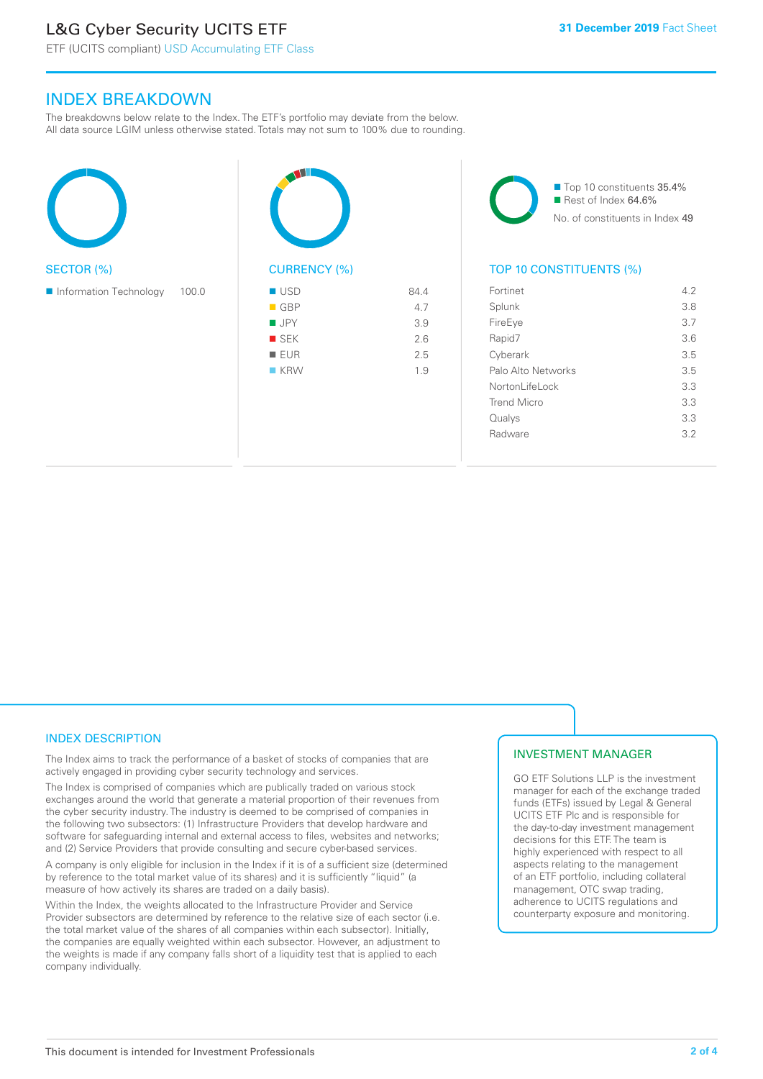### L&G Cyber Security UCITS ETF

ETF (UCITS compliant) USD Accumulating ETF Class

### INDEX BREAKDOWN

The breakdowns below relate to the Index. The ETF's portfolio may deviate from the below. All data source LGIM unless otherwise stated. Totals may not sum to 100% due to rounding.





■ Top 10 constituents 35.4% Rest of Index 64.6% No. of constituents in Index 49

### TOP 10 CONSTITUENTS (%)

| Fortinet           | 4.2 |
|--------------------|-----|
| Splunk             | 3.8 |
| FireEye            | 3.7 |
| Rapid7             | 3.6 |
| Cyberark           | 3.5 |
| Palo Alto Networks | 3.5 |
| Nortonl ifel ock   | 3.3 |
| <b>Trend Micro</b> | 3.3 |
| Qualys             | 3.3 |
| Radware            | 3.2 |
|                    |     |

### INDEX DESCRIPTION

The Index aims to track the performance of a basket of stocks of companies that are actively engaged in providing cyber security technology and services.

The Index is comprised of companies which are publically traded on various stock exchanges around the world that generate a material proportion of their revenues from the cyber security industry. The industry is deemed to be comprised of companies in the following two subsectors: (1) Infrastructure Providers that develop hardware and software for safeguarding internal and external access to files, websites and networks; and (2) Service Providers that provide consulting and secure cyber-based services.

A company is only eligible for inclusion in the Index if it is of a sufficient size (determined by reference to the total market value of its shares) and it is sufficiently "liquid" (a measure of how actively its shares are traded on a daily basis).

Within the Index, the weights allocated to the Infrastructure Provider and Service Provider subsectors are determined by reference to the relative size of each sector (i.e. the total market value of the shares of all companies within each subsector). Initially, the companies are equally weighted within each subsector. However, an adjustment to the weights is made if any company falls short of a liquidity test that is applied to each company individually.

### INVESTMENT MANAGER

GO ETF Solutions LLP is the investment manager for each of the exchange traded funds (ETFs) issued by Legal & General UCITS ETF Plc and is responsible for the day-to-day investment management decisions for this ETF. The team is highly experienced with respect to all aspects relating to the management of an ETF portfolio, including collateral management, OTC swap trading, adherence to UCITS regulations and counterparty exposure and monitoring.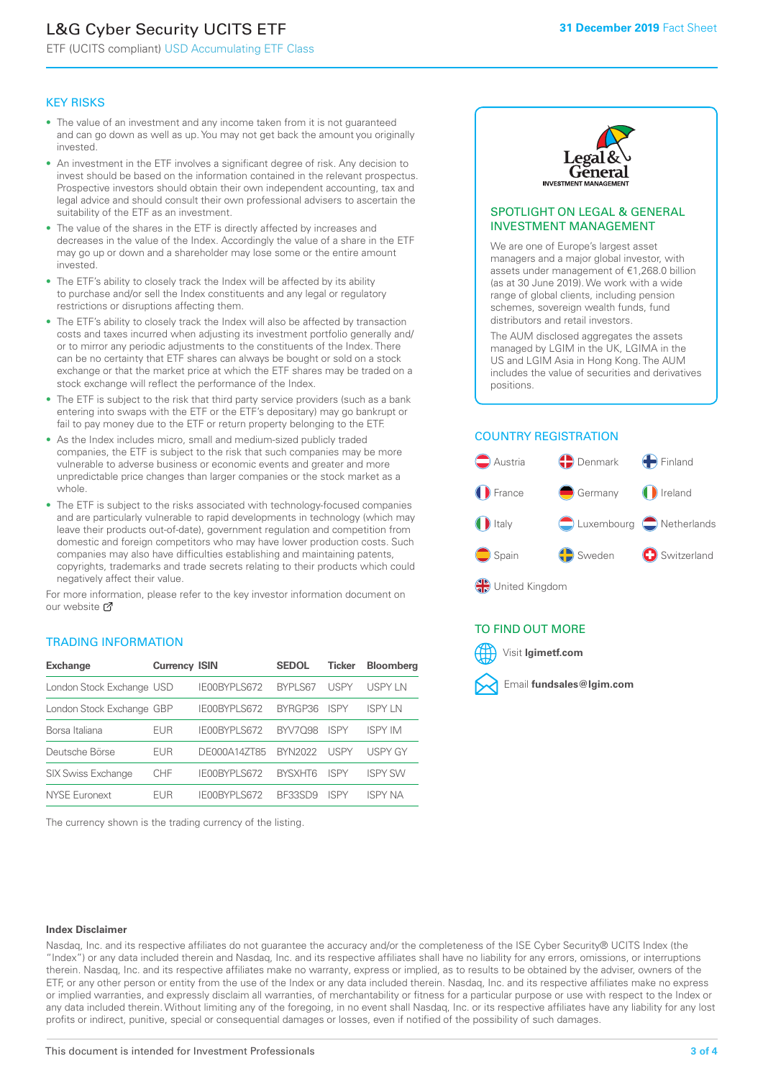## L&G Cyber Security UCITS ETF

ETF (UCITS compliant) USD Accumulating ETF Class

### KEY RISKS

- The value of an investment and any income taken from it is not guaranteed and can go down as well as up. You may not get back the amount you originally invested.
- An investment in the ETF involves a significant degree of risk. Any decision to invest should be based on the information contained in the relevant prospectus. Prospective investors should obtain their own independent accounting, tax and legal advice and should consult their own professional advisers to ascertain the suitability of the ETF as an investment.
- The value of the shares in the ETF is directly affected by increases and decreases in the value of the Index. Accordingly the value of a share in the ETF may go up or down and a shareholder may lose some or the entire amount invested.
- The ETF's ability to closely track the Index will be affected by its ability to purchase and/or sell the Index constituents and any legal or regulatory restrictions or disruptions affecting them.
- The ETF's ability to closely track the Index will also be affected by transaction costs and taxes incurred when adjusting its investment portfolio generally and/ or to mirror any periodic adjustments to the constituents of the Index. There can be no certainty that ETF shares can always be bought or sold on a stock exchange or that the market price at which the ETF shares may be traded on a stock exchange will reflect the performance of the Index.
- The ETF is subject to the risk that third party service providers (such as a bank entering into swaps with the ETF or the ETF's depositary) may go bankrupt or fail to pay money due to the ETF or return property belonging to the ETF.
- As the Index includes micro, small and medium-sized publicly traded companies, the ETF is subject to the risk that such companies may be more vulnerable to adverse business or economic events and greater and more unpredictable price changes than larger companies or the stock market as a whole.
- The ETF is subject to the risks associated with technology-focused companies and are particularly vulnerable to rapid developments in technology (which may leave their products out-of-date), government regulation and competition from domestic and foreign competitors who may have lower production costs. Such companies may also have difficulties establishing and maintaining patents, copyrights, trademarks and trade secrets relating to their products which could negatively affect their value.

For more information, please refer to the key investor information document on our website Ø

### TRADING INFORMATION

| <b>Exchange</b>           | <b>Currency ISIN</b> |              | <b>SEDOL</b>   | <b>Ticker</b> | <b>Bloomberg</b> |
|---------------------------|----------------------|--------------|----------------|---------------|------------------|
| London Stock Exchange USD |                      | IE00BYPLS672 | <b>BYPLS67</b> | USPY          | <b>USPYLN</b>    |
| London Stock Exchange GBP |                      | IE00BYPLS672 | BYRGP36        | <b>ISPY</b>   | <b>ISPY IN</b>   |
| Borsa Italiana            | EUR                  | IE00BYPLS672 | <b>BYV7098</b> | <b>ISPY</b>   | <b>ISPY IM</b>   |
| Deutsche Börse            | EUR                  | DE000A14ZT85 | <b>BYN2022</b> | USPY          | <b>USPY GY</b>   |
| <b>SIX Swiss Exchange</b> | <b>CHF</b>           | IE00BYPLS672 | <b>RYSXHT6</b> | <b>ISPY</b>   | <b>ISPY SW</b>   |
| NYSE Euronext             | <b>FUR</b>           | IE00BYPLS672 | <b>BE33SD9</b> | ISPY          | <b>ISPY NA</b>   |

The currency shown is the trading currency of the listing.



### SPOTLIGHT ON LEGAL & GENERAL INVESTMENT MANAGEMENT

We are one of Europe's largest asset managers and a major global investor, with assets under management of €1,268.0 billion (as at 30 June 2019). We work with a wide range of global clients, including pension schemes, sovereign wealth funds, fund distributors and retail investors.

The AUM disclosed aggregates the assets managed by LGIM in the UK, LGIMA in the US and LGIM Asia in Hong Kong. The AUM includes the value of securities and derivatives positions.

### COUNTRY REGISTRATION



### TO FIND OUT MORE



#### **Index Disclaimer**

Nasdaq, Inc. and its respective affiliates do not guarantee the accuracy and/or the completeness of the ISE Cyber Security® UCITS Index (the "Index") or any data included therein and Nasdaq, Inc. and its respective affiliates shall have no liability for any errors, omissions, or interruptions therein. Nasdaq, Inc. and its respective affiliates make no warranty, express or implied, as to results to be obtained by the adviser, owners of the ETF, or any other person or entity from the use of the Index or any data included therein. Nasdaq, Inc. and its respective affiliates make no express or implied warranties, and expressly disclaim all warranties, of merchantability or fitness for a particular purpose or use with respect to the Index or any data included therein. Without limiting any of the foregoing, in no event shall Nasdaq, Inc. or its respective affiliates have any liability for any lost profits or indirect, punitive, special or consequential damages or losses, even if notified of the possibility of such damages.